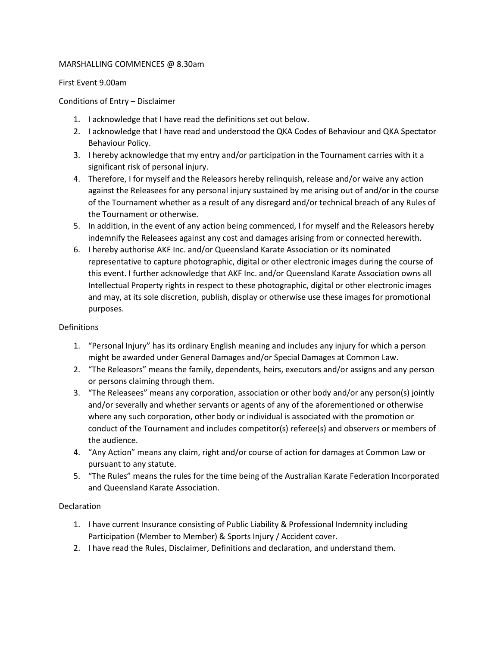#### MARSHALLING COMMENCES @ 8.30am

First Event 9.00am

### Conditions of Entry – Disclaimer

- 1. I acknowledge that I have read the definitions set out below.
- 2. I acknowledge that I have read and understood the QKA Codes of Behaviour and QKA Spectator Behaviour Policy.
- 3. I hereby acknowledge that my entry and/or participation in the Tournament carries with it a significant risk of personal injury.
- 4. Therefore, I for myself and the Releasors hereby relinquish, release and/or waive any action against the Releasees for any personal injury sustained by me arising out of and/or in the course of the Tournament whether as a result of any disregard and/or technical breach of any Rules of the Tournament or otherwise.
- 5. In addition, in the event of any action being commenced, I for myself and the Releasors hereby indemnify the Releasees against any cost and damages arising from or connected herewith.
- 6. I hereby authorise AKF Inc. and/or Queensland Karate Association or its nominated representative to capture photographic, digital or other electronic images during the course of this event. I further acknowledge that AKF Inc. and/or Queensland Karate Association owns all Intellectual Property rights in respect to these photographic, digital or other electronic images and may, at its sole discretion, publish, display or otherwise use these images for promotional purposes.

## Definitions

- 1. "Personal Injury" has its ordinary English meaning and includes any injury for which a person might be awarded under General Damages and/or Special Damages at Common Law.
- 2. "The Releasors" means the family, dependents, heirs, executors and/or assigns and any person or persons claiming through them.
- 3. "The Releasees" means any corporation, association or other body and/or any person(s) jointly and/or severally and whether servants or agents of any of the aforementioned or otherwise where any such corporation, other body or individual is associated with the promotion or conduct of the Tournament and includes competitor(s) referee(s) and observers or members of the audience.
- 4. "Any Action" means any claim, right and/or course of action for damages at Common Law or pursuant to any statute.
- 5. "The Rules" means the rules for the time being of the Australian Karate Federation Incorporated and Queensland Karate Association.

# Declaration

- 1. I have current Insurance consisting of Public Liability & Professional Indemnity including Participation (Member to Member) & Sports Injury / Accident cover.
- 2. I have read the Rules, Disclaimer, Definitions and declaration, and understand them.